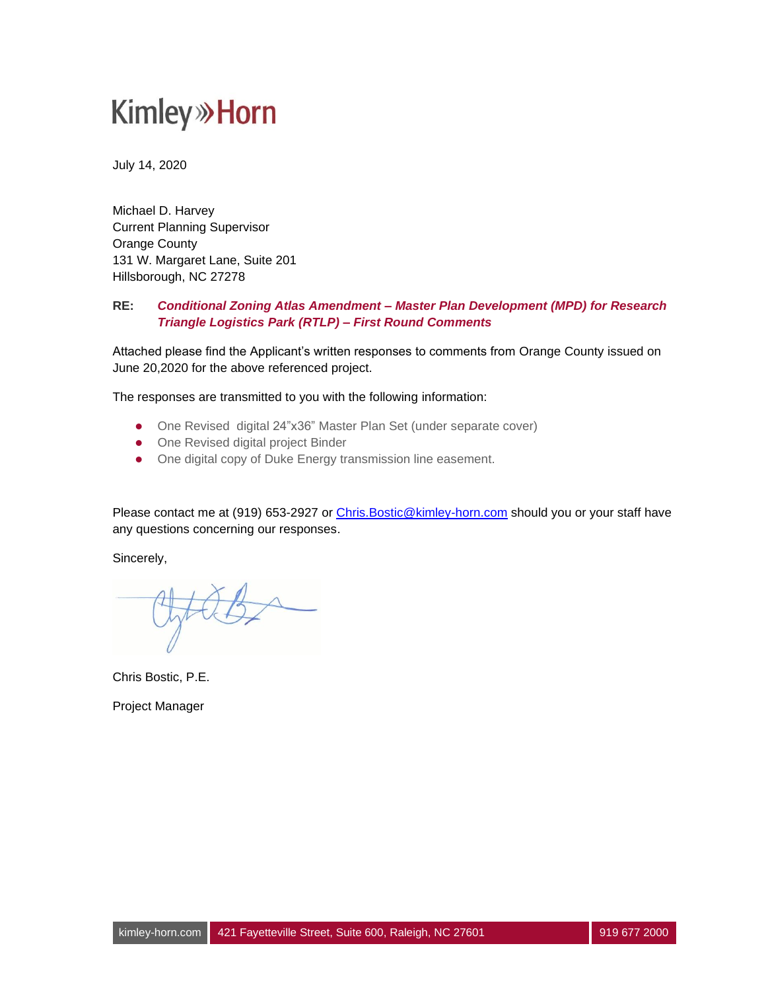July 14, 2020

Michael D. Harvey Current Planning Supervisor Orange County 131 W. Margaret Lane, Suite 201 Hillsborough, NC 27278

#### **RE:** *Conditional Zoning Atlas Amendment – Master Plan Development (MPD) for Research Triangle Logistics Park (RTLP) – First Round Comments*

Attached please find the Applicant's written responses to comments from Orange County issued on June 20,2020 for the above referenced project.

The responses are transmitted to you with the following information:

- ⚫ One Revised digital 24"x36" Master Plan Set (under separate cover)
- One Revised digital project Binder
- ⚫ One digital copy of Duke Energy transmission line easement.

Please contact me at (919) 653-2927 or Chris. Bostic@kimley-horn.com should you or your staff have any questions concerning our responses.

Sincerely,

Chris Bostic, P.E.

Project Manager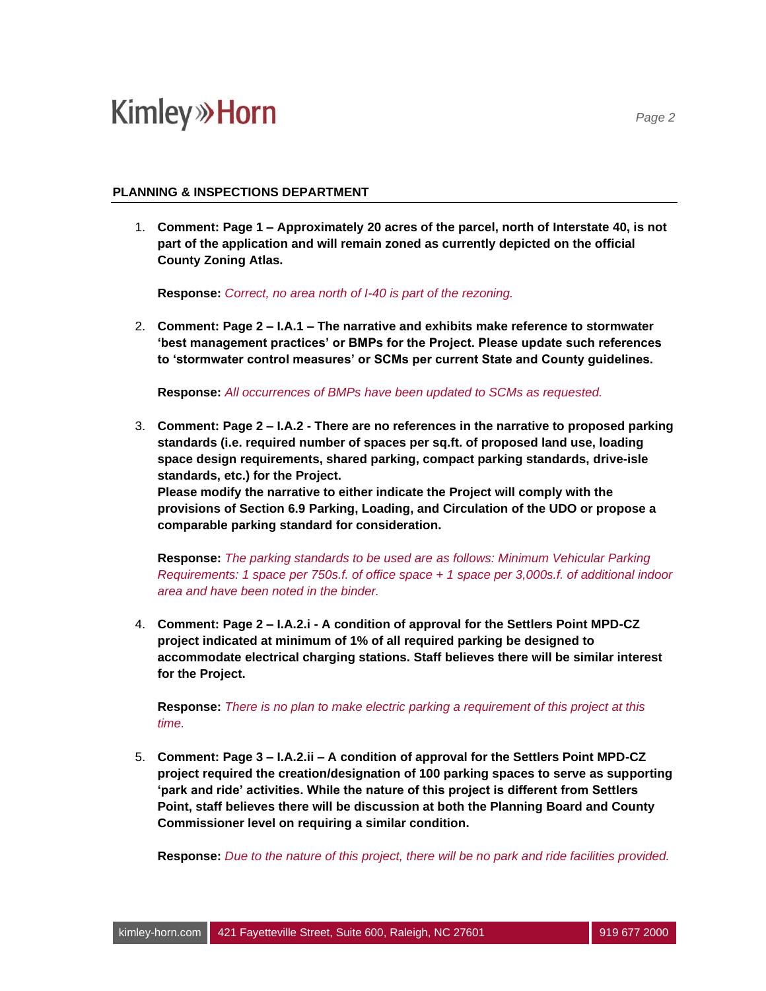#### **PLANNING & INSPECTIONS DEPARTMENT**

1. **Comment: Page 1 – Approximately 20 acres of the parcel, north of Interstate 40, is not part of the application and will remain zoned as currently depicted on the official County Zoning Atlas.**

**Response:** *Correct, no area north of I-40 is part of the rezoning.* 

2. **Comment: Page 2 – I.A.1 – The narrative and exhibits make reference to stormwater 'best management practices' or BMPs for the Project. Please update such references to 'stormwater control measures' or SCMs per current State and County guidelines.**

**Response:** *All occurrences of BMPs have been updated to SCMs as requested.*

3. **Comment: Page 2 – I.A.2 - There are no references in the narrative to proposed parking standards (i.e. required number of spaces per sq.ft. of proposed land use, loading space design requirements, shared parking, compact parking standards, drive-isle standards, etc.) for the Project.**

**Please modify the narrative to either indicate the Project will comply with the provisions of Section 6.9 Parking, Loading, and Circulation of the UDO or propose a comparable parking standard for consideration.**

**Response:** *The parking standards to be used are as follows: Minimum Vehicular Parking Requirements: 1 space per 750s.f. of office space + 1 space per 3,000s.f. of additional indoor area and have been noted in the binder.*

4. **Comment: Page 2 – I.A.2.i - A condition of approval for the Settlers Point MPD-CZ project indicated at minimum of 1% of all required parking be designed to accommodate electrical charging stations. Staff believes there will be similar interest for the Project.**

**Response:** *There is no plan to make electric parking a requirement of this project at this time.*

5. **Comment: Page 3 – I.A.2.ii – A condition of approval for the Settlers Point MPD-CZ project required the creation/designation of 100 parking spaces to serve as supporting 'park and ride' activities. While the nature of this project is different from Settlers Point, staff believes there will be discussion at both the Planning Board and County Commissioner level on requiring a similar condition.**

**Response:** *Due to the nature of this project, there will be no park and ride facilities provided.*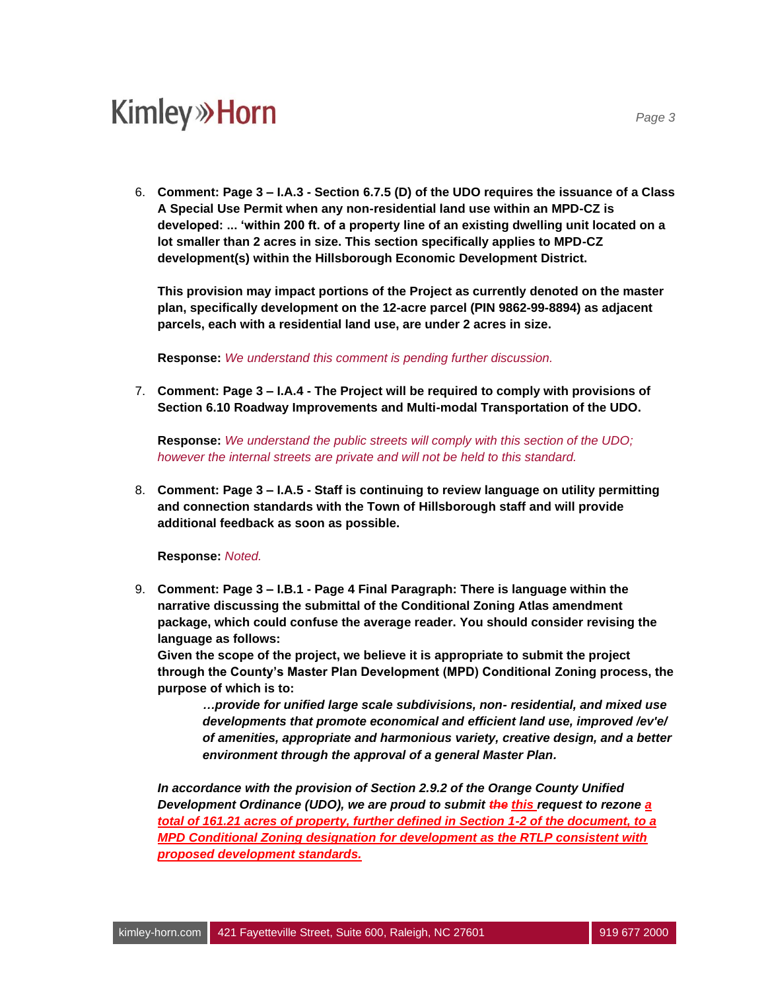6. **Comment: Page 3 – I.A.3 - Section 6.7.5 (D) of the UDO requires the issuance of a Class A Special Use Permit when any non-residential land use within an MPD-CZ is developed: ... 'within 200 ft. of a property line of an existing dwelling unit located on a lot smaller than 2 acres in size. This section specifically applies to MPD-CZ development(s) within the Hillsborough Economic Development District.**

**This provision may impact portions of the Project as currently denoted on the master plan, specifically development on the 12-acre parcel (PIN 9862-99-8894) as adjacent parcels, each with a residential land use, are under 2 acres in size.**

**Response:** *We understand this comment is pending further discussion.*

7. **Comment: Page 3 – I.A.4 - The Project will be required to comply with provisions of Section 6.10 Roadway Improvements and Multi-modal Transportation of the UDO.**

**Response:** *We understand the public streets will comply with this section of the UDO; however the internal streets are private and will not be held to this standard.*

8. **Comment: Page 3 – I.A.5 - Staff is continuing to review language on utility permitting and connection standards with the Town of Hillsborough staff and will provide additional feedback as soon as possible.**

**Response:** *Noted.*

9. **Comment: Page 3 – I.B.1 - Page 4 Final Paragraph: There is language within the narrative discussing the submittal of the Conditional Zoning Atlas amendment package, which could confuse the average reader. You should consider revising the language as follows:**

**Given the scope of the project, we believe it is appropriate to submit the project through the County's Master Plan Development (MPD) Conditional Zoning process, the purpose of which is to:**

*…provide for unified large scale subdivisions, non- residential, and mixed use developments that promote economical and efficient land use, improved /ev'e/ of amenities, appropriate and harmonious variety, creative design, and a better environment through the approval of a general Master Plan.*

*In accordance with the provision of Section 2.9.2 of the Orange County Unified Development Ordinance (UDO), we are proud to submit the this request to rezone a total of 161.21 acres of property, further defined in Section 1-2 of the document, to a MPD Conditional Zoning designation for development as the RTLP consistent with proposed development standards.*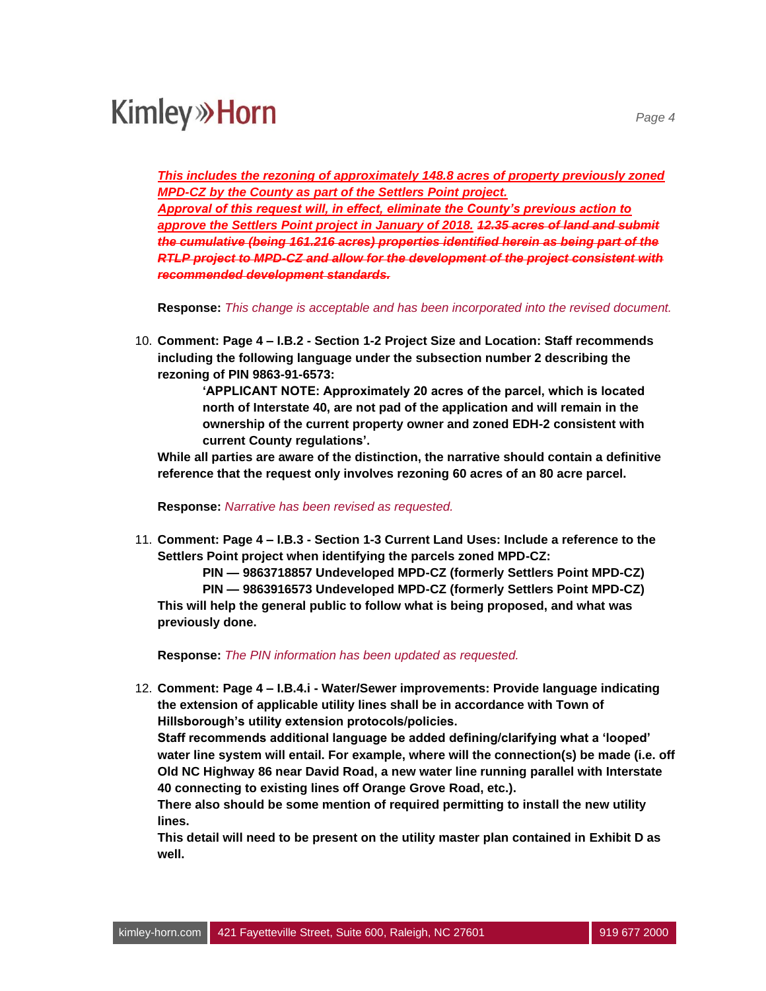*This includes the rezoning of approximately 148.8 acres of property previously zoned MPD-CZ by the County as part of the Settlers Point project.*

*Approval of this request will, in effect, eliminate the County's previous action to approve the Settlers Point project in January of 2018. 12.35 acres of land and submit the cumulative (being 161.216 acres) properties identified herein as being part of the RTLP project to MPD-CZ and allow for the development of the project consistent with recommended development standards.*

**Response:** *This change is acceptable and has been incorporated into the revised document.*

10. **Comment: Page 4 – I.B.2 - Section 1-2 Project Size and Location: Staff recommends including the following language under the subsection number 2 describing the rezoning of PIN 9863-91-6573:**

> **'APPLICANT NOTE: Approximately 20 acres of the parcel, which is located north of Interstate 40, are not pad of the application and will remain in the ownership of the current property owner and zoned EDH-2 consistent with current County regulations'.**

**While all parties are aware of the distinction, the narrative should contain a definitive reference that the request only involves rezoning 60 acres of an 80 acre parcel.**

**Response:** *Narrative has been revised as requested.*

11. **Comment: Page 4 – I.B.3 - Section 1-3 Current Land Uses: Include a reference to the Settlers Point project when identifying the parcels zoned MPD-CZ:**

**PIN — 9863718857 Undeveloped MPD-CZ (formerly Settlers Point MPD-CZ) PIN — 9863916573 Undeveloped MPD-CZ (formerly Settlers Point MPD-CZ) This will help the general public to follow what is being proposed, and what was previously done.**

**Response:** *The PIN information has been updated as requested.*

12. **Comment: Page 4 – I.B.4.i - Water/Sewer improvements: Provide language indicating the extension of applicable utility lines shall be in accordance with Town of Hillsborough's utility extension protocols/policies.**

**Staff recommends additional language be added defining/clarifying what a 'looped' water line system will entail. For example, where will the connection(s) be made (i.e. off Old NC Highway 86 near David Road, a new water line running parallel with Interstate 40 connecting to existing lines off Orange Grove Road, etc.).**

**There also should be some mention of required permitting to install the new utility lines.**

**This detail will need to be present on the utility master plan contained in Exhibit D as well.**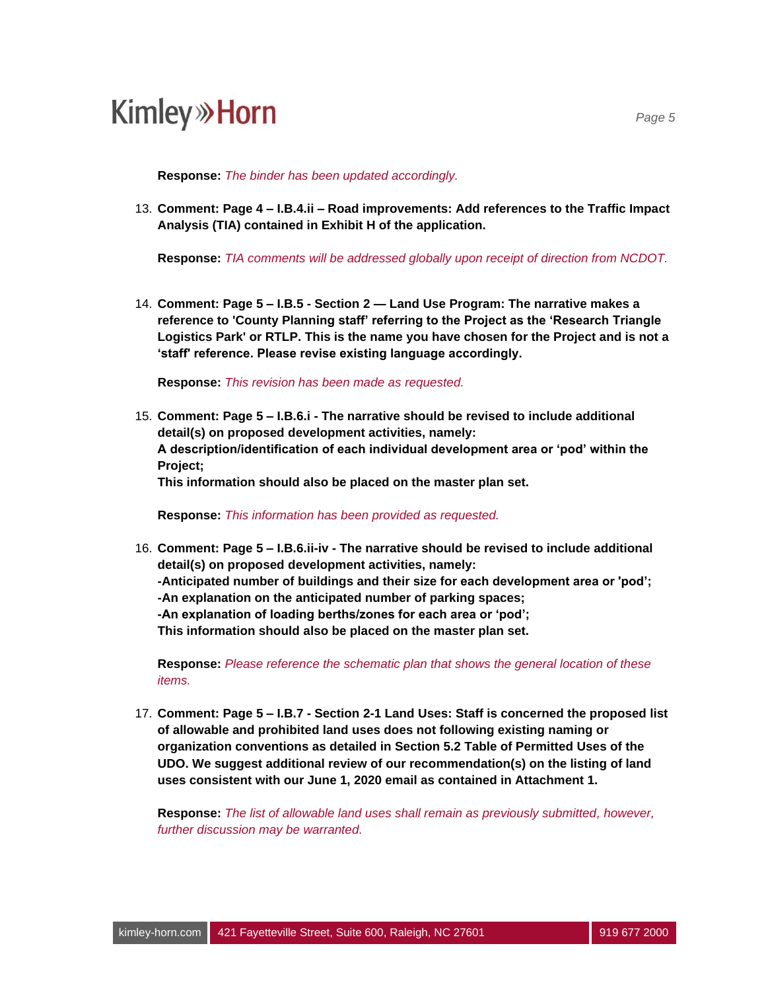**Response:** *The binder has been updated accordingly.*

13. **Comment: Page 4 – I.B.4.ii – Road improvements: Add references to the Traffic Impact Analysis (TIA) contained in Exhibit H of the application.**

**Response:** *TIA comments will be addressed globally upon receipt of direction from NCDOT.* 

14. **Comment: Page 5 – I.B.5 - Section 2 — Land Use Program: The narrative makes a reference to 'County Planning staff' referring to the Project as the 'Research Triangle Logistics Park' or RTLP. This is the name you have chosen for the Project and is not a 'staff' reference. Please revise existing language accordingly.**

**Response:** *This revision has been made as requested.*

15. **Comment: Page 5 – I.B.6.i - The narrative should be revised to include additional detail(s) on proposed development activities, namely: A description/identification of each individual development area or 'pod' within the Project; This information should also be placed on the master plan set.**

**Response:** *This information has been provided as requested.*

16. **Comment: Page 5 – I.B.6.ii-iv - The narrative should be revised to include additional detail(s) on proposed development activities, namely: -Anticipated number of buildings and their size for each development area or 'pod'; -An explanation on the anticipated number of parking spaces; -An explanation of loading berths/zones for each area or 'pod'; This information should also be placed on the master plan set.**

**Response:** *Please reference the schematic plan that shows the general location of these items.*

17. **Comment: Page 5 – I.B.7 - Section 2-1 Land Uses: Staff is concerned the proposed list of allowable and prohibited land uses does not following existing naming or organization conventions as detailed in Section 5.2 Table of Permitted Uses of the UDO. We suggest additional review of our recommendation(s) on the listing of land uses consistent with our June 1, 2020 email as contained in Attachment 1.**

**Response:** *The list of allowable land uses shall remain as previously submitted, however, further discussion may be warranted.*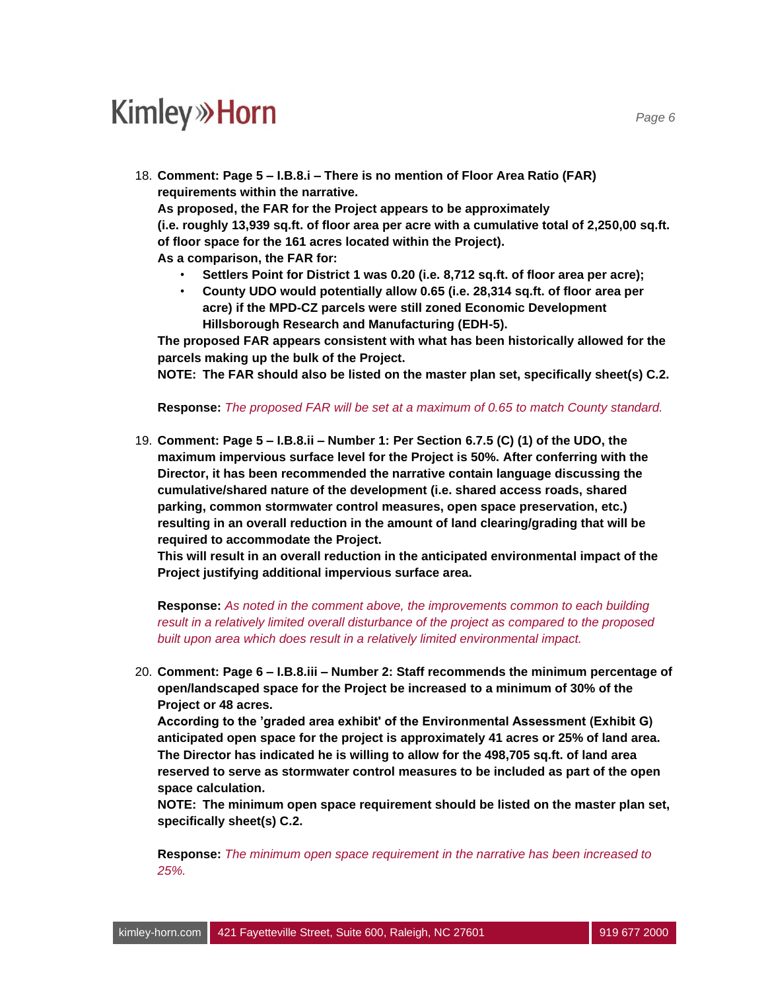18. **Comment: Page 5 – I.B.8.i – There is no mention of Floor Area Ratio (FAR) requirements within the narrative.**

**As proposed, the FAR for the Project appears to be approximately (i.e. roughly 13,939 sq.ft. of floor area per acre with a cumulative total of 2,250,00 sq.ft. of floor space for the 161 acres located within the Project).**

**As a comparison, the FAR for:**

- **Settlers Point for District 1 was 0.20 (i.e. 8,712 sq.ft. of floor area per acre);**
- **County UDO would potentially allow 0.65 (i.e. 28,314 sq.ft. of floor area per acre) if the MPD-CZ parcels were still zoned Economic Development Hillsborough Research and Manufacturing (EDH-5).**

**The proposed FAR appears consistent with what has been historically allowed for the parcels making up the bulk of the Project.**

**NOTE: The FAR should also be listed on the master plan set, specifically sheet(s) C.2.**

**Response:** *The proposed FAR will be set at a maximum of 0.65 to match County standard.*

19. **Comment: Page 5 – I.B.8.ii – Number 1: Per Section 6.7.5 (C) (1) of the UDO, the maximum impervious surface level for the Project is 50%. After conferring with the Director, it has been recommended the narrative contain language discussing the cumulative/shared nature of the development (i.e. shared access roads, shared parking, common stormwater control measures, open space preservation, etc.) resulting in an overall reduction in the amount of land clearing/grading that will be required to accommodate the Project.**

**This will result in an overall reduction in the anticipated environmental impact of the Project justifying additional impervious surface area.**

**Response:** *As noted in the comment above, the improvements common to each building result in a relatively limited overall disturbance of the project as compared to the proposed built upon area which does result in a relatively limited environmental impact.*

20. **Comment: Page 6 – I.B.8.iii – Number 2: Staff recommends the minimum percentage of open/landscaped space for the Project be increased to a minimum of 30% of the Project or 48 acres.**

**According to the 'graded area exhibit' of the Environmental Assessment (Exhibit G) anticipated open space for the project is approximately 41 acres or 25% of land area. The Director has indicated he is willing to allow for the 498,705 sq.ft. of land area reserved to serve as stormwater control measures to be included as part of the open space calculation.**

**NOTE: The minimum open space requirement should be listed on the master plan set, specifically sheet(s) C.2.**

**Response:** *The minimum open space requirement in the narrative has been increased to 25%.*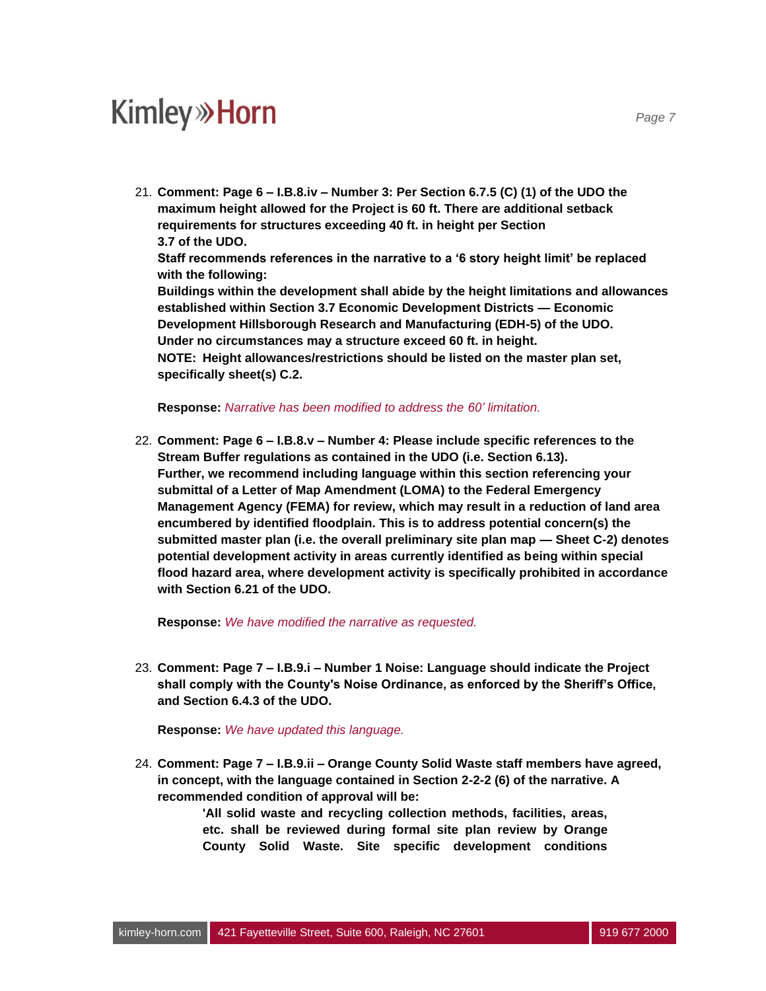21. **Comment: Page 6 – I.B.8.iv – Number 3: Per Section 6.7.5 (C) (1) of the UDO the maximum height allowed for the Project is 60 ft. There are additional setback requirements for structures exceeding 40 ft. in height per Section 3.7 of the UDO. Staff recommends references in the narrative to a '6 story height limit' be replaced with the following: Buildings within the development shall abide by the height limitations and allowances established within Section 3.7 Economic Development Districts — Economic Development Hillsborough Research and Manufacturing (EDH-5) of the UDO. Under no circumstances may a structure exceed 60 ft. in height. NOTE: Height allowances/restrictions should be listed on the master plan set, specifically sheet(s) C.2.**

**Response:** *Narrative has been modified to address the 60' limitation.*

22. **Comment: Page 6 – I.B.8.v – Number 4: Please include specific references to the Stream Buffer regulations as contained in the UDO (i.e. Section 6.13). Further, we recommend including language within this section referencing your submittal of a Letter of Map Amendment (LOMA) to the Federal Emergency Management Agency (FEMA) for review, which may result in a reduction of land area encumbered by identified floodplain. This is to address potential concern(s) the submitted master plan (i.e. the overall preliminary site plan map — Sheet C-2) denotes potential development activity in areas currently identified as being within special flood hazard area, where development activity is specifically prohibited in accordance with Section 6.21 of the UDO.**

**Response:** *We have modified the narrative as requested.*

23. **Comment: Page 7 – I.B.9.i – Number 1 Noise: Language should indicate the Project shall comply with the County's Noise Ordinance, as enforced by the Sheriff's Office, and Section 6.4.3 of the UDO.**

**Response:** *We have updated this language.*

24. **Comment: Page 7 – I.B.9.ii – Orange County Solid Waste staff members have agreed, in concept, with the language contained in Section 2-2-2 (6) of the narrative. A recommended condition of approval will be:**

> **'All solid waste and recycling collection methods, facilities, areas, etc. shall be reviewed during formal site plan review by Orange County Solid Waste. Site specific development conditions**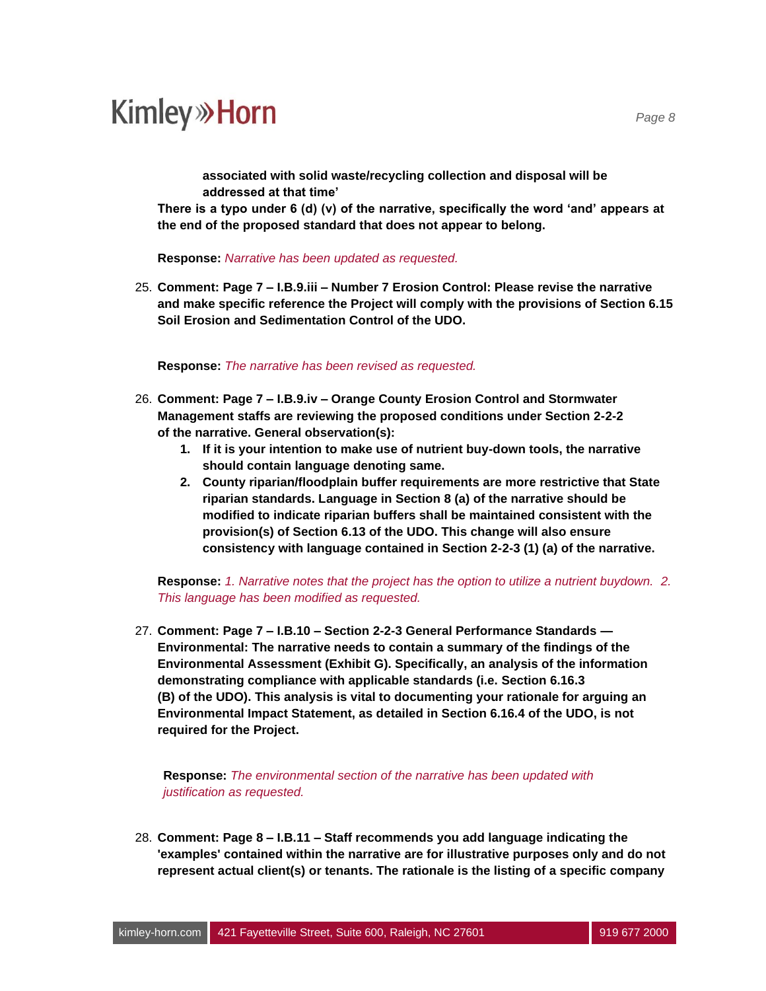**associated with solid waste/recycling collection and disposal will be addressed at that time'**

**There is a typo under 6 (d) (v) of the narrative, specifically the word 'and' appears at the end of the proposed standard that does not appear to belong.**

**Response:** *Narrative has been updated as requested.*

25. **Comment: Page 7 – I.B.9.iii – Number 7 Erosion Control: Please revise the narrative and make specific reference the Project will comply with the provisions of Section 6.15 Soil Erosion and Sedimentation Control of the UDO.**

**Response:** *The narrative has been revised as requested.*

- 26. **Comment: Page 7 – I.B.9.iv – Orange County Erosion Control and Stormwater Management staffs are reviewing the proposed conditions under Section 2-2-2 of the narrative. General observation(s):**
	- **1. If it is your intention to make use of nutrient buy-down tools, the narrative should contain language denoting same.**
	- **2. County riparian/floodplain buffer requirements are more restrictive that State riparian standards. Language in Section 8 (a) of the narrative should be modified to indicate riparian buffers shall be maintained consistent with the provision(s) of Section 6.13 of the UDO. This change will also ensure consistency with language contained in Section 2-2-3 (1) (a) of the narrative.**

**Response:** *1. Narrative notes that the project has the option to utilize a nutrient buydown. 2. This language has been modified as requested.*

27. **Comment: Page 7 – I.B.10 – Section 2-2-3 General Performance Standards — Environmental: The narrative needs to contain a summary of the findings of the Environmental Assessment (Exhibit G). Specifically, an analysis of the information demonstrating compliance with applicable standards (i.e. Section 6.16.3 (B) of the UDO). This analysis is vital to documenting your rationale for arguing an Environmental Impact Statement, as detailed in Section 6.16.4 of the UDO, is not required for the Project.**

**Response:** *The environmental section of the narrative has been updated with justification as requested.*

28. **Comment: Page 8 – I.B.11 – Staff recommends you add language indicating the 'examples' contained within the narrative are for illustrative purposes only and do not represent actual client(s) or tenants. The rationale is the listing of a specific company**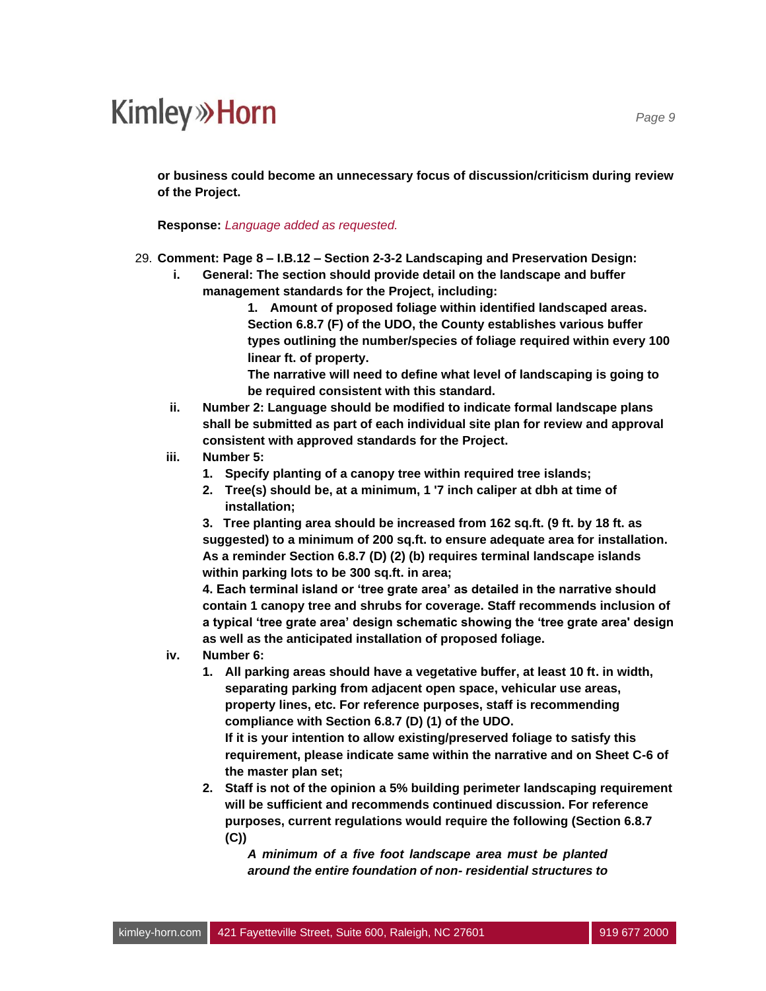**or business could become an unnecessary focus of discussion/criticism during review of the Project.**

**Response:** *Language added as requested.*

- 29. **Comment: Page 8 – I.B.12 – Section 2-3-2 Landscaping and Preservation Design:**
	- **i. General: The section should provide detail on the landscape and buffer management standards for the Project, including:**

**1. Amount of proposed foliage within identified landscaped areas. Section 6.8.7 (F) of the UDO, the County establishes various buffer types outlining the number/species of foliage required within every 100 linear ft. of property.**

**The narrative will need to define what level of landscaping is going to be required consistent with this standard.**

- **ii. Number 2: Language should be modified to indicate formal landscape plans shall be submitted as part of each individual site plan for review and approval consistent with approved standards for the Project.**
- **iii. Number 5:**
	- **1. Specify planting of a canopy tree within required tree islands;**
	- **2. Tree(s) should be, at a minimum, 1 '7 inch caliper at dbh at time of installation;**

**3. Tree planting area should be increased from 162 sq.ft. (9 ft. by 18 ft. as suggested) to a minimum of 200 sq.ft. to ensure adequate area for installation. As a reminder Section 6.8.7 (D) (2) (b) requires terminal landscape islands within parking lots to be 300 sq.ft. in area;**

**4. Each terminal island or 'tree grate area' as detailed in the narrative should contain 1 canopy tree and shrubs for coverage. Staff recommends inclusion of a typical 'tree grate area' design schematic showing the 'tree grate area' design as well as the anticipated installation of proposed foliage.**

- **iv. Number 6:**
	- **1. All parking areas should have a vegetative buffer, at least 10 ft. in width, separating parking from adjacent open space, vehicular use areas, property lines, etc. For reference purposes, staff is recommending compliance with Section 6.8.7 (D) (1) of the UDO.**

**If it is your intention to allow existing/preserved foliage to satisfy this requirement, please indicate same within the narrative and on Sheet C-6 of the master plan set;**

**2. Staff is not of the opinion a 5% building perimeter landscaping requirement will be sufficient and recommends continued discussion. For reference purposes, current regulations would require the following (Section 6.8.7 (C))**

*A minimum of a five foot landscape area must be planted around the entire foundation of non- residential structures to*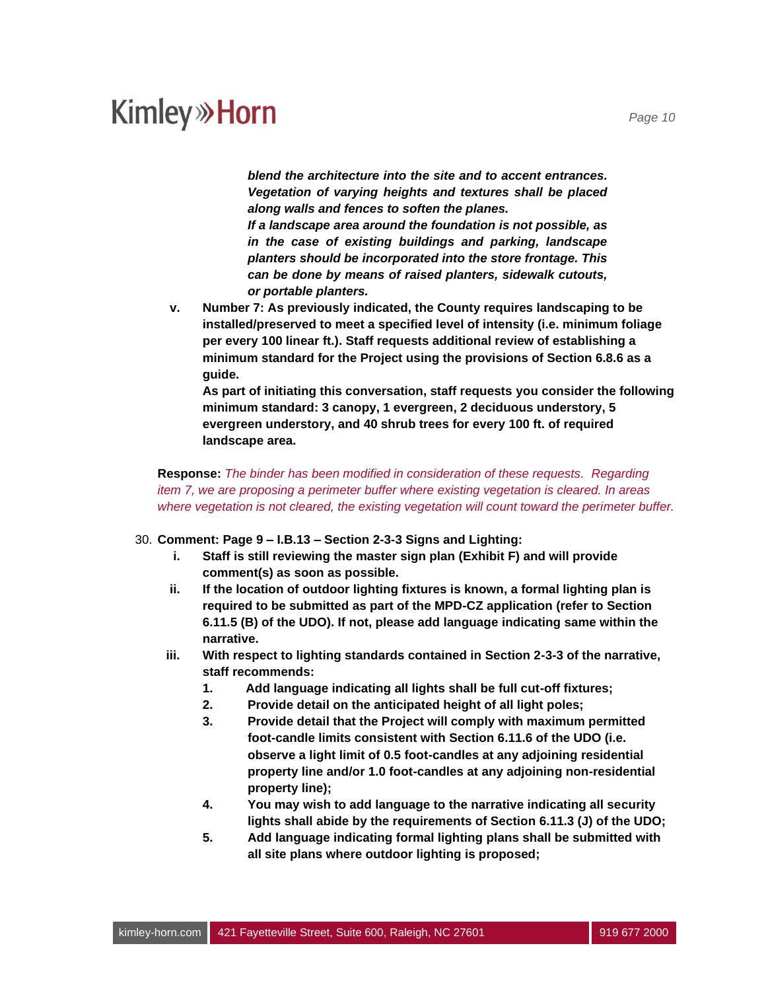*blend the architecture into the site and to accent entrances. Vegetation of varying heights and textures shall be placed along walls and fences to soften the planes.*

*If a landscape area around the foundation is not possible, as in the case of existing buildings and parking, landscape planters should be incorporated into the store frontage. This can be done by means of raised planters, sidewalk cutouts, or portable planters.*

**v. Number 7: As previously indicated, the County requires landscaping to be installed/preserved to meet a specified level of intensity (i.e. minimum foliage per every 100 linear ft.). Staff requests additional review of establishing a minimum standard for the Project using the provisions of Section 6.8.6 as a guide.**

**As part of initiating this conversation, staff requests you consider the following minimum standard: 3 canopy, 1 evergreen, 2 deciduous understory, 5 evergreen understory, and 40 shrub trees for every 100 ft. of required landscape area.**

**Response:** *The binder has been modified in consideration of these requests. Regarding item 7, we are proposing a perimeter buffer where existing vegetation is cleared. In areas where vegetation is not cleared, the existing vegetation will count toward the perimeter buffer.*

#### 30. **Comment: Page 9 – I.B.13 – Section 2-3-3 Signs and Lighting:**

- **i. Staff is still reviewing the master sign plan (Exhibit F) and will provide comment(s) as soon as possible.**
- **ii. If the location of outdoor lighting fixtures is known, a formal lighting plan is required to be submitted as part of the MPD-CZ application (refer to Section 6.11.5 (B) of the UDO). If not, please add language indicating same within the narrative.**
- **iii. With respect to lighting standards contained in Section 2-3-3 of the narrative, staff recommends:**
	- **1. Add language indicating all lights shall be full cut-off fixtures;**
	- **2. Provide detail on the anticipated height of all light poles;**
	- **3. Provide detail that the Project will comply with maximum permitted foot-candle limits consistent with Section 6.11.6 of the UDO (i.e. observe a light limit of 0.5 foot-candles at any adjoining residential property line and/or 1.0 foot-candles at any adjoining non-residential property line);**
	- **4. You may wish to add language to the narrative indicating all security lights shall abide by the requirements of Section 6.11.3 (J) of the UDO;**
	- **5. Add language indicating formal lighting plans shall be submitted with all site plans where outdoor lighting is proposed;**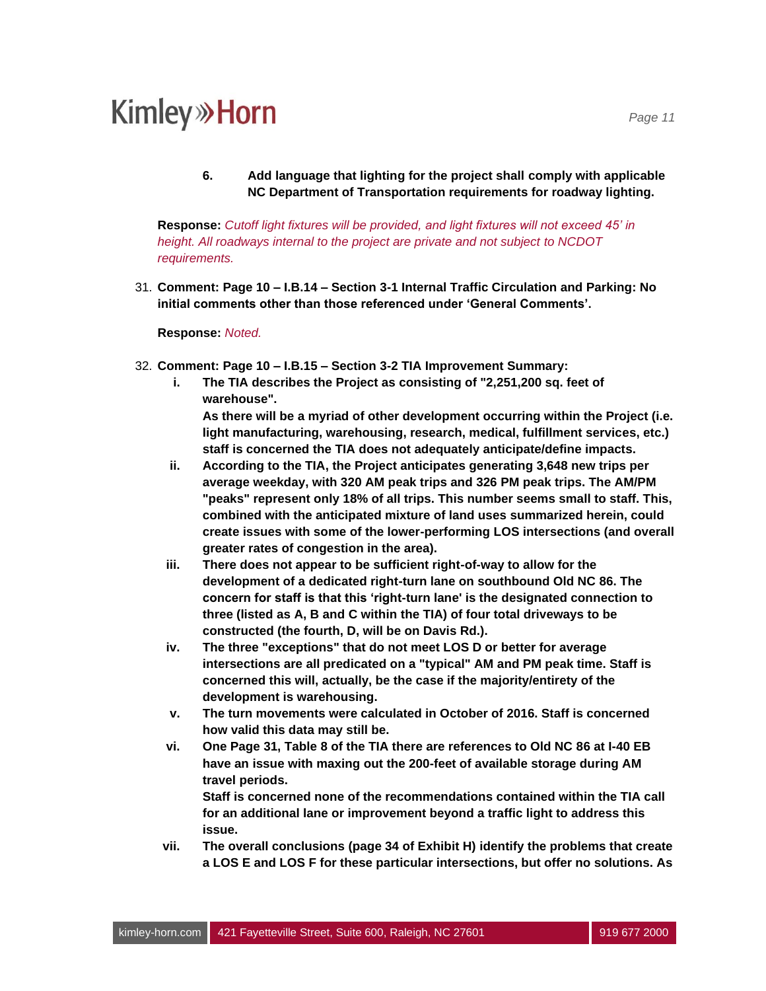**6. Add language that lighting for the project shall comply with applicable NC Department of Transportation requirements for roadway lighting.**

**Response:** *Cutoff light fixtures will be provided, and light fixtures will not exceed 45' in height. All roadways internal to the project are private and not subject to NCDOT requirements.*

31. **Comment: Page 10 – I.B.14 – Section 3-1 Internal Traffic Circulation and Parking: No initial comments other than those referenced under 'General Comments'.**

**Response:** *Noted.*

- 32. **Comment: Page 10 – I.B.15 – Section 3-2 TIA Improvement Summary:**
	- **i. The TIA describes the Project as consisting of "2,251,200 sq. feet of warehouse". As there will be a myriad of other development occurring within the Project (i.e. light manufacturing, warehousing, research, medical, fulfillment services, etc.)**

**staff is concerned the TIA does not adequately anticipate/define impacts.**

- **ii. According to the TIA, the Project anticipates generating 3,648 new trips per average weekday, with 320 AM peak trips and 326 PM peak trips. The AM/PM "peaks" represent only 18% of all trips. This number seems small to staff. This, combined with the anticipated mixture of land uses summarized herein, could create issues with some of the lower-performing LOS intersections (and overall greater rates of congestion in the area).**
- **iii. There does not appear to be sufficient right-of-way to allow for the development of a dedicated right-turn lane on southbound Old NC 86. The concern for staff is that this 'right-turn lane' is the designated connection to three (listed as A, B and C within the TIA) of four total driveways to be constructed (the fourth, D, will be on Davis Rd.).**
- **iv. The three "exceptions" that do not meet LOS D or better for average intersections are all predicated on a "typical" AM and PM peak time. Staff is concerned this will, actually, be the case if the majority/entirety of the development is warehousing.**
- **v. The turn movements were calculated in October of 2016. Staff is concerned how valid this data may still be.**
- **vi. One Page 31, Table 8 of the TIA there are references to Old NC 86 at I-40 EB have an issue with maxing out the 200-feet of available storage during AM travel periods.**

**Staff is concerned none of the recommendations contained within the TIA call for an additional lane or improvement beyond a traffic light to address this issue.**

**vii. The overall conclusions (page 34 of Exhibit H) identify the problems that create a LOS E and LOS F for these particular intersections, but offer no solutions. As**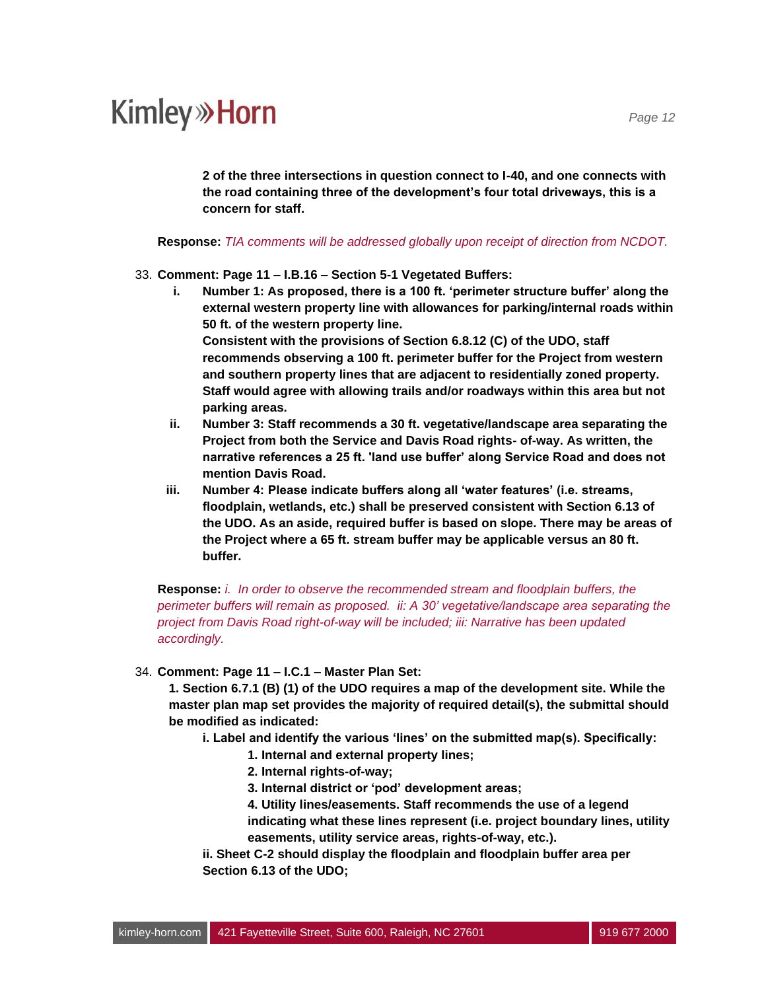**2 of the three intersections in question connect to I-40, and one connects with the road containing three of the development's four total driveways, this is a concern for staff.**

**Response:** *TIA comments will be addressed globally upon receipt of direction from NCDOT.*

#### 33. **Comment: Page 11 – I.B.16 – Section 5-1 Vegetated Buffers:**

- **i. Number 1: As proposed, there is a 100 ft. 'perimeter structure buffer' along the external western property line with allowances for parking/internal roads within 50 ft. of the western property line. Consistent with the provisions of Section 6.8.12 (C) of the UDO, staff recommends observing a 100 ft. perimeter buffer for the Project from western and southern property lines that are adjacent to residentially zoned property. Staff would agree with allowing trails and/or roadways within this area but not parking areas.**
- **ii. Number 3: Staff recommends a 30 ft. vegetative/landscape area separating the Project from both the Service and Davis Road rights- of-way. As written, the narrative references a 25 ft. 'land use buffer' along Service Road and does not mention Davis Road.**
- **iii. Number 4: Please indicate buffers along all 'water features' (i.e. streams, floodplain, wetlands, etc.) shall be preserved consistent with Section 6.13 of the UDO. As an aside, required buffer is based on slope. There may be areas of the Project where a 65 ft. stream buffer may be applicable versus an 80 ft. buffer.**

**Response:** *i. In order to observe the recommended stream and floodplain buffers, the perimeter buffers will remain as proposed.**ii: A 30' vegetative/landscape area separating the project from Davis Road right-of-way will be included; iii: Narrative has been updated accordingly.*

34. **Comment: Page 11 – I.C.1 – Master Plan Set:**

**1. Section 6.7.1 (B) (1) of the UDO requires a map of the development site. While the master plan map set provides the majority of required detail(s), the submittal should be modified as indicated:**

- **i. Label and identify the various 'lines' on the submitted map(s). Specifically:**
	- **1. Internal and external property lines;**
	- **2. Internal rights-of-way;**
	- **3. Internal district or 'pod' development areas;**
	- **4. Utility lines/easements. Staff recommends the use of a legend indicating what these lines represent (i.e. project boundary lines, utility easements, utility service areas, rights-of-way, etc.).**

**ii. Sheet C-2 should display the floodplain and floodplain buffer area per Section 6.13 of the UDO;**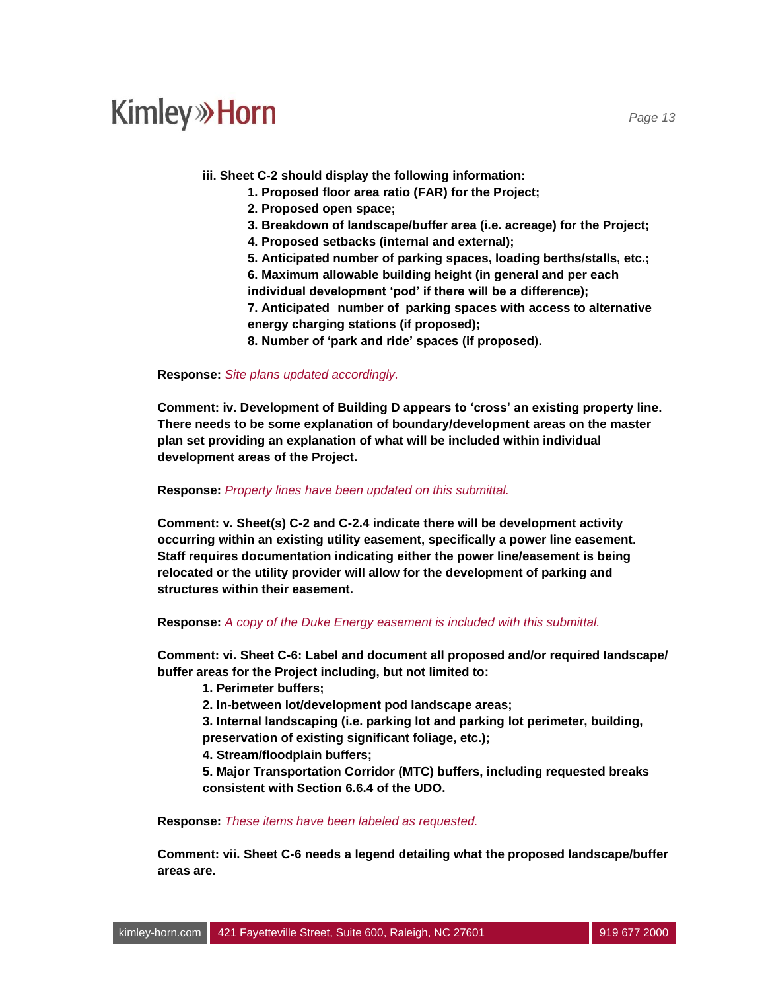**iii. Sheet C-2 should display the following information:**

- **1. Proposed floor area ratio (FAR) for the Project;**
- **2. Proposed open space;**
- **3. Breakdown of landscape/buffer area (i.e. acreage) for the Project;**
- **4. Proposed setbacks (internal and external);**
- **5. Anticipated number of parking spaces, loading berths/stalls, etc.;**

**6. Maximum allowable building height (in general and per each individual development 'pod' if there will be a difference);**

**7. Anticipated number of parking spaces with access to alternative energy charging stations (if proposed);**

**8. Number of 'park and ride' spaces (if proposed).**

**Response:** *Site plans updated accordingly.*

**Comment: iv. Development of Building D appears to 'cross' an existing property line. There needs to be some explanation of boundary/development areas on the master plan set providing an explanation of what will be included within individual development areas of the Project.**

**Response:** *Property lines have been updated on this submittal.*

**Comment: v. Sheet(s) C-2 and C-2.4 indicate there will be development activity occurring within an existing utility easement, specifically a power line easement. Staff requires documentation indicating either the power line/easement is being relocated or the utility provider will allow for the development of parking and structures within their easement.**

#### **Response:** *A copy of the Duke Energy easement is included with this submittal.*

**Comment: vi. Sheet C-6: Label and document all proposed and/or required Iandscape/ buffer areas for the Project including, but not limited to:**

- **1. Perimeter buffers;**
- **2. In-between lot/development pod landscape areas;**

**3. Internal landscaping (i.e. parking lot and parking lot perimeter, building, preservation of existing significant foliage, etc.);**

**4. Stream/floodplain buffers;**

**5. Major Transportation Corridor (MTC) buffers, including requested breaks consistent with Section 6.6.4 of the UDO.**

**Response:** *These items have been labeled as requested.* 

**Comment: vii. Sheet C-6 needs a legend detailing what the proposed landscape/buffer areas are.**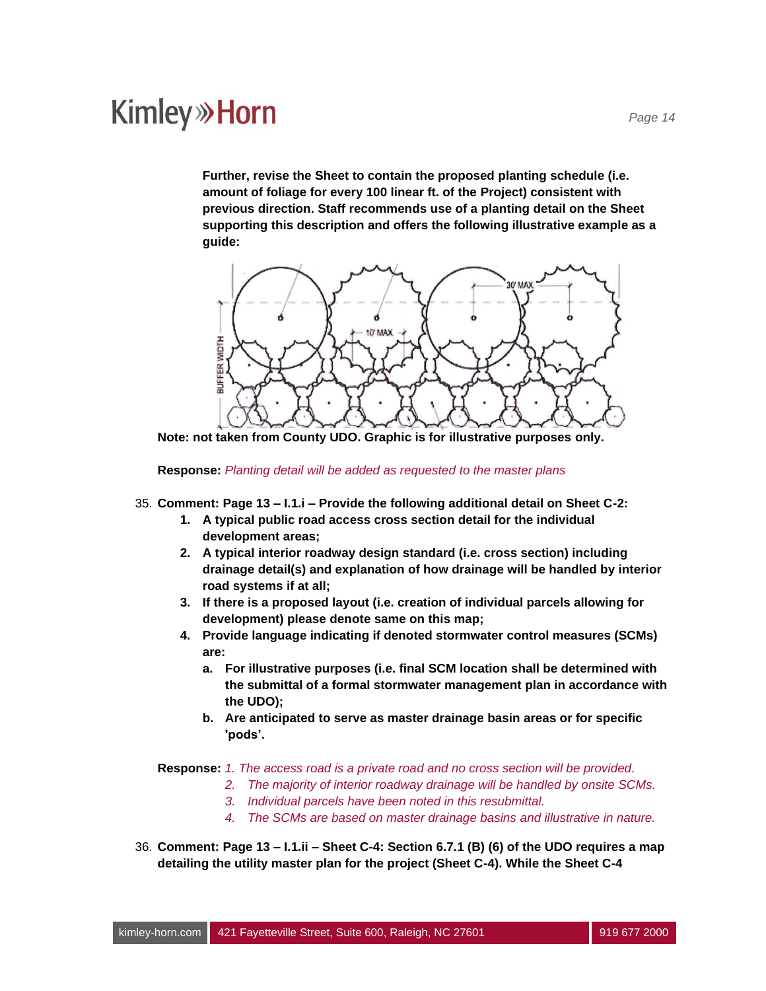**Further, revise the Sheet to contain the proposed planting schedule (i.e. amount of foliage for every 100 linear ft. of the Project) consistent with previous direction. Staff recommends use of a planting detail on the Sheet supporting this description and offers the following illustrative example as a guide:**



**Note: not taken from County UDO. Graphic is for illustrative purposes only.**

**Response:** *Planting detail will be added as requested to the master plans*

- 35. **Comment: Page 13 – I.1.i – Provide the following additional detail on Sheet C-2:**
	- **1. A typical public road access cross section detail for the individual development areas;**
	- **2. A typical interior roadway design standard (i.e. cross section) including drainage detail(s) and explanation of how drainage will be handled by interior road systems if at all;**
	- **3. If there is a proposed layout (i.e. creation of individual parcels allowing for development) please denote same on this map;**
	- **4. Provide language indicating if denoted stormwater control measures (SCMs) are:**
		- **a. For illustrative purposes (i.e. final SCM location shall be determined with the submittal of a formal stormwater management plan in accordance with the UDO);**
		- **b. Are anticipated to serve as master drainage basin areas or for specific 'pods'.**

**Response:** *1. The access road is a private road and no cross section will be provided.*

- *2. The majority of interior roadway drainage will be handled by onsite SCMs.*
- *3. Individual parcels have been noted in this resubmittal.*
- *4. The SCMs are based on master drainage basins and illustrative in nature.*
- 36. **Comment: Page 13 – I.1.ii – Sheet C-4: Section 6.7.1 (B) (6) of the UDO requires a map detailing the utility master plan for the project (Sheet C-4). While the Sheet C-4**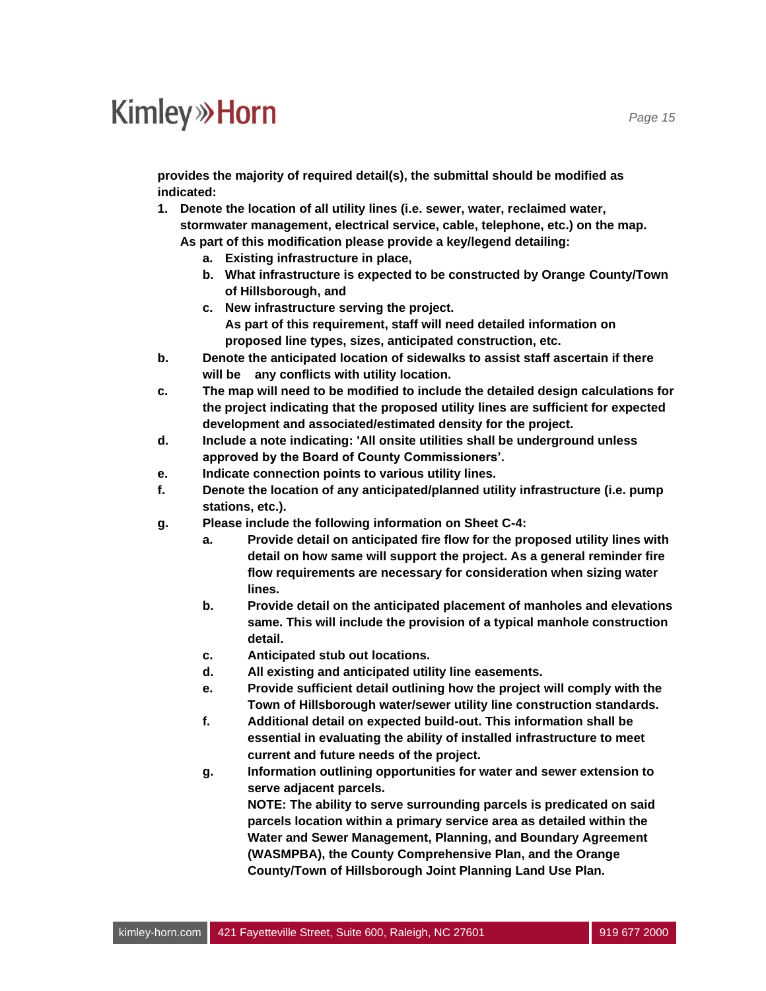**provides the majority of required detail(s), the submittal should be modified as indicated:**

- **1. Denote the location of all utility lines (i.e. sewer, water, reclaimed water, stormwater management, electrical service, cable, telephone, etc.) on the map. As part of this modification please provide a key/legend detailing:**
	- **a. Existing infrastructure in place,**
	- **b. What infrastructure is expected to be constructed by Orange County/Town of Hillsborough, and**
	- **c. New infrastructure serving the project. As part of this requirement, staff will need detailed information on proposed line types, sizes, anticipated construction, etc.**
- **b. Denote the anticipated location of sidewalks to assist staff ascertain if there will be any conflicts with utility location.**
- **c. The map will need to be modified to include the detailed design calculations for the project indicating that the proposed utility lines are sufficient for expected development and associated/estimated density for the project.**
- **d. Include a note indicating: 'All onsite utilities shall be underground unless approved by the Board of County Commissioners'.**
- **e. Indicate connection points to various utility lines.**
- **f. Denote the location of any anticipated/planned utility infrastructure (i.e. pump stations, etc.).**
- **g. Please include the following information on Sheet C-4:**
	- **a. Provide detail on anticipated fire flow for the proposed utility lines with detail on how same will support the project. As a general reminder fire flow requirements are necessary for consideration when sizing water lines.**
	- **b. Provide detail on the anticipated placement of manholes and elevations same. This will include the provision of a typical manhole construction detail.**
	- **c. Anticipated stub out locations.**
	- **d. All existing and anticipated utility line easements.**
	- **e. Provide sufficient detail outlining how the project will comply with the Town of Hillsborough water/sewer utility line construction standards.**
	- **f. Additional detail on expected build-out. This information shall be essential in evaluating the ability of installed infrastructure to meet current and future needs of the project.**
	- **g. Information outlining opportunities for water and sewer extension to serve adjacent parcels.**

**NOTE: The ability to serve surrounding parcels is predicated on said parcels location within a primary service area as detailed within the Water and Sewer Management, Planning, and Boundary Agreement (WASMPBA), the County Comprehensive Plan, and the Orange County/Town of Hillsborough Joint Planning Land Use Plan.**